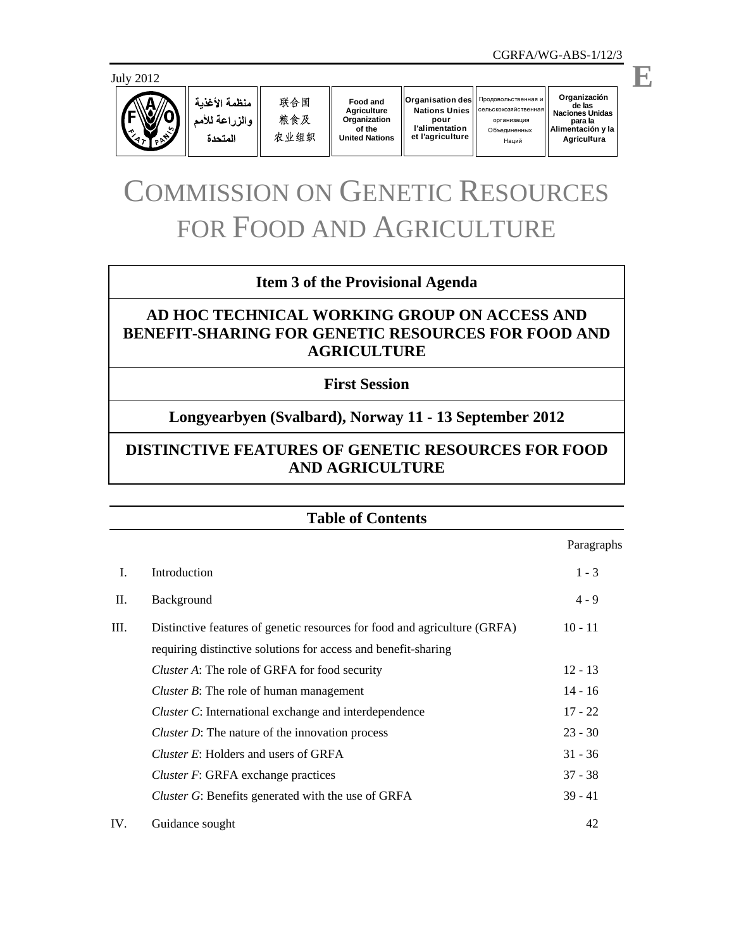

منظمة الأغذية والزراعة للأمم المتحدة

联合国 粮食及 农业组织

**Food and Agriculture Organization of the United Nations**

 $O$ rganisation des **Nations Unies pour l'alimentation et l'agriculture**

**Organización** de las<br>Naciones Unidas **Naciones Unidas** организация **para la Alimentación y la** О бъединенных Наций **Agric u ult ra** Продовольственная и cельскохозяйственная

# COMMISSION ON GENETIC RESOURCES FOR FOOD AND AGRICULTURE

# **Item 3 of the Provisional Agenda**

# **AD HOC TECHNICAL WORKING GROUP ON ACCESS AND BENEFIT-SHARING FOR GENETIC RESOURCES FOR FOOD AND AGRICULTURE**

# **First Session**

# **Longyearbyen (Svalbard), Norway 11 - 13 September 2012**

# **DISTINCTIVE FEATURES OF GENETIC RESOURCES FOR FOOD AND AGRICULTURE**

# **Table of Contents**

 Paragraphs I. Introduction 1 - 3 II. Background 4 - 9 III. Distinctive features of genetic resources for food and agriculture (GRFA) 10 - 11 requiring distinctive solutions for access and benefit-sharing *Cluster A*: The role of GRFA for food security 12 - 13 *Cluster B*: The role of human management 14 - 16 *Cluster C*: International exchange and interdependence 17 - 22 *Cluster D*: The nature of the innovation process 23 - 30 *Cluster E*: Holders and users of GRFA 31 - 36 *Cluster F*: GRFA exchange practices 37 - 38 *Cluster G*: Benefits generated with the use of GRFA 39 - 41 IV. Guidance sought 42

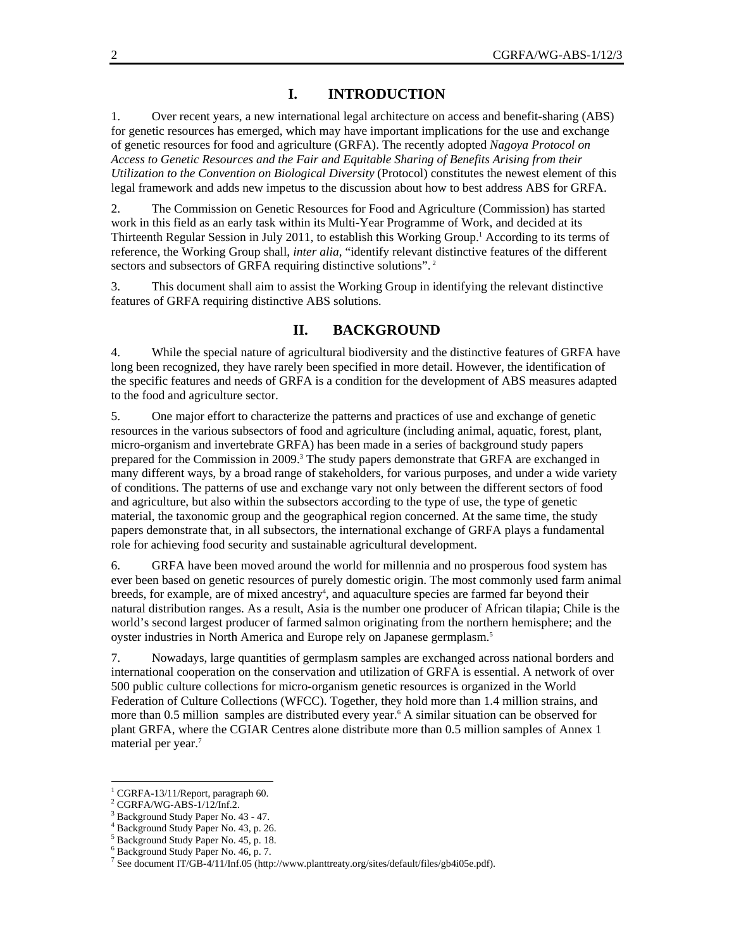## **I. INTRODUCTION**

1. Over recent years, a new international legal architecture on access and benefit-sharing (ABS) for genetic resources has emerged, which may have important implications for the use and exchange of genetic resources for food and agriculture (GRFA). The recently adopted *Nagoya Protocol on Access to Genetic Resources and the Fair and Equitable Sharing of Benefits Arising from their Utilization to the Convention on Biological Diversity* (Protocol) constitutes the newest element of this legal framework and adds new impetus to the discussion about how to best address ABS for GRFA.

2. The Commission on Genetic Resources for Food and Agriculture (Commission) has started work in this field as an early task within its Multi-Year Programme of Work, and decided at its Thirteenth Regular Session in July 2011, to establish this Working Group.<sup>1</sup> According to its terms of reference, the Working Group shall, *inter alia*, "identify relevant distinctive features of the different sectors and subsectors of GRFA requiring distinctive solutions".<sup>2</sup>

3. This document shall aim to assist the Working Group in identifying the relevant distinctive features of GRFA requiring distinctive ABS solutions.

## **II. BACKGROUND**

4. While the special nature of agricultural biodiversity and the distinctive features of GRFA have long been recognized, they have rarely been specified in more detail. However, the identification of the specific features and needs of GRFA is a condition for the development of ABS measures adapted to the food and agriculture sector.

5. One major effort to characterize the patterns and practices of use and exchange of genetic resources in the various subsectors of food and agriculture (including animal, aquatic, forest, plant, micro-organism and invertebrate GRFA) has been made in a series of background study papers prepared for the Commission in 2009.<sup>3</sup> The study papers demonstrate that GRFA are exchanged in many different ways, by a broad range of stakeholders, for various purposes, and under a wide variety of conditions. The patterns of use and exchange vary not only between the different sectors of food and agriculture, but also within the subsectors according to the type of use, the type of genetic material, the taxonomic group and the geographical region concerned. At the same time, the study papers demonstrate that, in all subsectors, the international exchange of GRFA plays a fundamental role for achieving food security and sustainable agricultural development.

6. GRFA have been moved around the world for millennia and no prosperous food system has ever been based on genetic resources of purely domestic origin. The most commonly used farm animal breeds, for example, are of mixed ancestry<sup>4</sup>, and aquaculture species are farmed far beyond their natural distribution ranges. As a result, Asia is the number one producer of African tilapia; Chile is the world's second largest producer of farmed salmon originating from the northern hemisphere; and the oyster industries in North America and Europe rely on Japanese germplasm.5

7. Nowadays, large quantities of germplasm samples are exchanged across national borders and international cooperation on the conservation and utilization of GRFA is essential. A network of over 500 public culture collections for micro-organism genetic resources is organized in the World Federation of Culture Collections (WFCC). Together, they hold more than 1.4 million strains, and more than 0.5 million samples are distributed every year.<sup>6</sup> A similar situation can be observed for plant GRFA, where the CGIAR Centres alone distribute more than 0.5 million samples of Annex 1 material per year.<sup>7</sup>

 $\overline{a}$ 

<sup>&</sup>lt;sup>1</sup> CGRFA-13/11/Report, paragraph 60.

<sup>2</sup> CGRFA/WG-ABS-1/12/Inf.2.

<sup>&</sup>lt;sup>3</sup> Background Study Paper No. 43 - 47.

<sup>4</sup> Background Study Paper No. 43, p. 26.

<sup>5</sup> Background Study Paper No. 45, p. 18.

<sup>6</sup> Background Study Paper No. 46, p. 7.

<sup>&</sup>lt;sup>7</sup> See document IT/GB-4/11/Inf.05 (http://www.planttreaty.org/sites/default/files/gb4i05e.pdf).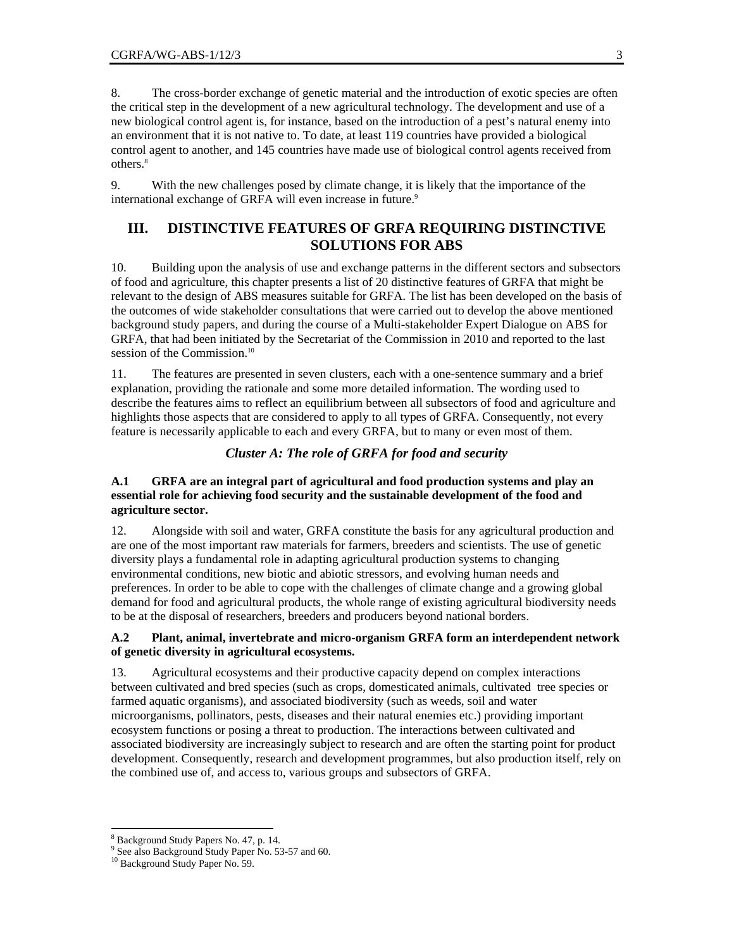8. The cross-border exchange of genetic material and the introduction of exotic species are often the critical step in the development of a new agricultural technology. The development and use of a new biological control agent is, for instance, based on the introduction of a pest's natural enemy into an environment that it is not native to. To date, at least 119 countries have provided a biological control agent to another, and 145 countries have made use of biological control agents received from others.8

9. With the new challenges posed by climate change, it is likely that the importance of the international exchange of GRFA will even increase in future.<sup>9</sup>

# **III. DISTINCTIVE FEATURES OF GRFA REQUIRING DISTINCTIVE SOLUTIONS FOR ABS**

10. Building upon the analysis of use and exchange patterns in the different sectors and subsectors of food and agriculture, this chapter presents a list of 20 distinctive features of GRFA that might be relevant to the design of ABS measures suitable for GRFA. The list has been developed on the basis of the outcomes of wide stakeholder consultations that were carried out to develop the above mentioned background study papers, and during the course of a Multi-stakeholder Expert Dialogue on ABS for GRFA, that had been initiated by the Secretariat of the Commission in 2010 and reported to the last session of the Commission.<sup>10</sup>

11. The features are presented in seven clusters, each with a one-sentence summary and a brief explanation, providing the rationale and some more detailed information. The wording used to describe the features aims to reflect an equilibrium between all subsectors of food and agriculture and highlights those aspects that are considered to apply to all types of GRFA. Consequently, not every feature is necessarily applicable to each and every GRFA, but to many or even most of them.

#### *Cluster A: The role of GRFA for food and security*

## **A.1 GRFA are an integral part of agricultural and food production systems and play an essential role for achieving food security and the sustainable development of the food and agriculture sector.**

12. Alongside with soil and water, GRFA constitute the basis for any agricultural production and are one of the most important raw materials for farmers, breeders and scientists. The use of genetic diversity plays a fundamental role in adapting agricultural production systems to changing environmental conditions, new biotic and abiotic stressors, and evolving human needs and preferences. In order to be able to cope with the challenges of climate change and a growing global demand for food and agricultural products, the whole range of existing agricultural biodiversity needs to be at the disposal of researchers, breeders and producers beyond national borders.

#### **A.2 Plant, animal, invertebrate and micro-organism GRFA form an interdependent network of genetic diversity in agricultural ecosystems.**

13. Agricultural ecosystems and their productive capacity depend on complex interactions between cultivated and bred species (such as crops, domesticated animals, cultivated tree species or farmed aquatic organisms), and associated biodiversity (such as weeds, soil and water microorganisms, pollinators, pests, diseases and their natural enemies etc.) providing important ecosystem functions or posing a threat to production. The interactions between cultivated and associated biodiversity are increasingly subject to research and are often the starting point for product development. Consequently, research and development programmes, but also production itself, rely on the combined use of, and access to, various groups and subsectors of GRFA.

l

<sup>&</sup>lt;sup>8</sup> Background Study Papers No. 47, p. 14.<br><sup>9</sup> See also Background Study Paper No. 5

 $9$  See also Background Study Paper No. 53-57 and 60.

<sup>&</sup>lt;sup>10</sup> Background Study Paper No. 59.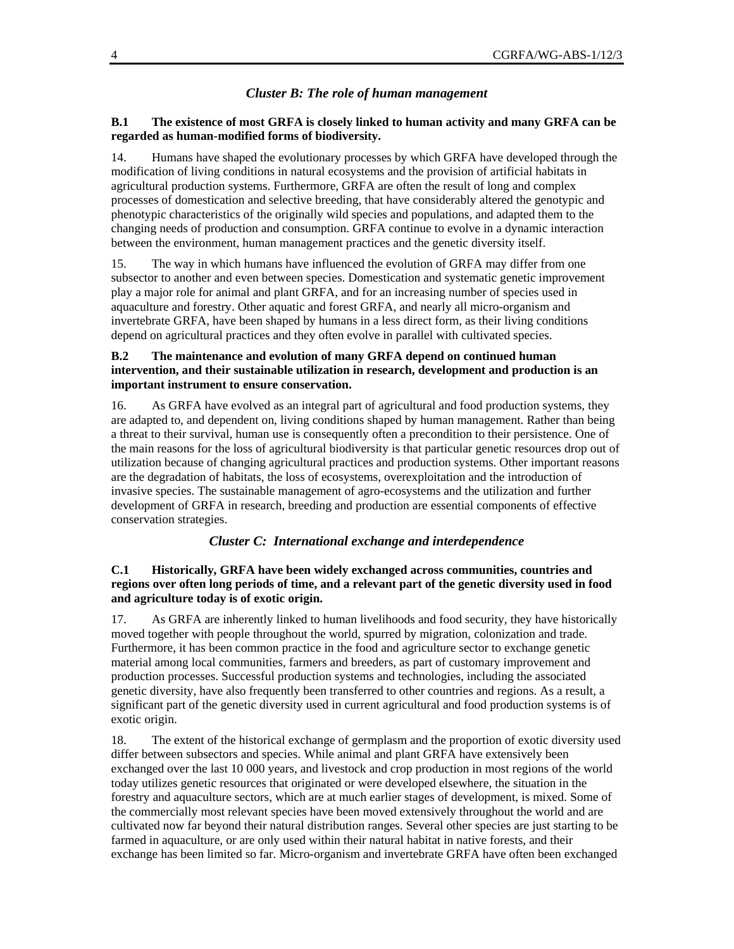#### *Cluster B: The role of human management*

#### **B.1 The existence of most GRFA is closely linked to human activity and many GRFA can be regarded as human-modified forms of biodiversity.**

14. Humans have shaped the evolutionary processes by which GRFA have developed through the modification of living conditions in natural ecosystems and the provision of artificial habitats in agricultural production systems. Furthermore, GRFA are often the result of long and complex processes of domestication and selective breeding, that have considerably altered the genotypic and phenotypic characteristics of the originally wild species and populations, and adapted them to the changing needs of production and consumption. GRFA continue to evolve in a dynamic interaction between the environment, human management practices and the genetic diversity itself.

15. The way in which humans have influenced the evolution of GRFA may differ from one subsector to another and even between species. Domestication and systematic genetic improvement play a major role for animal and plant GRFA, and for an increasing number of species used in aquaculture and forestry. Other aquatic and forest GRFA, and nearly all micro-organism and invertebrate GRFA, have been shaped by humans in a less direct form, as their living conditions depend on agricultural practices and they often evolve in parallel with cultivated species.

## **B.2 The maintenance and evolution of many GRFA depend on continued human intervention, and their sustainable utilization in research, development and production is an important instrument to ensure conservation.**

16. As GRFA have evolved as an integral part of agricultural and food production systems, they are adapted to, and dependent on, living conditions shaped by human management. Rather than being a threat to their survival, human use is consequently often a precondition to their persistence. One of the main reasons for the loss of agricultural biodiversity is that particular genetic resources drop out of utilization because of changing agricultural practices and production systems. Other important reasons are the degradation of habitats, the loss of ecosystems, overexploitation and the introduction of invasive species. The sustainable management of agro-ecosystems and the utilization and further development of GRFA in research, breeding and production are essential components of effective conservation strategies.

*Cluster C: International exchange and interdependence*

## **C.1 Historically, GRFA have been widely exchanged across communities, countries and regions over often long periods of time, and a relevant part of the genetic diversity used in food and agriculture today is of exotic origin.**

17. As GRFA are inherently linked to human livelihoods and food security, they have historically moved together with people throughout the world, spurred by migration, colonization and trade. Furthermore, it has been common practice in the food and agriculture sector to exchange genetic material among local communities, farmers and breeders, as part of customary improvement and production processes. Successful production systems and technologies, including the associated genetic diversity, have also frequently been transferred to other countries and regions. As a result, a significant part of the genetic diversity used in current agricultural and food production systems is of exotic origin.

18. The extent of the historical exchange of germplasm and the proportion of exotic diversity used differ between subsectors and species. While animal and plant GRFA have extensively been exchanged over the last 10 000 years, and livestock and crop production in most regions of the world today utilizes genetic resources that originated or were developed elsewhere, the situation in the forestry and aquaculture sectors, which are at much earlier stages of development, is mixed. Some of the commercially most relevant species have been moved extensively throughout the world and are cultivated now far beyond their natural distribution ranges. Several other species are just starting to be farmed in aquaculture, or are only used within their natural habitat in native forests, and their exchange has been limited so far. Micro-organism and invertebrate GRFA have often been exchanged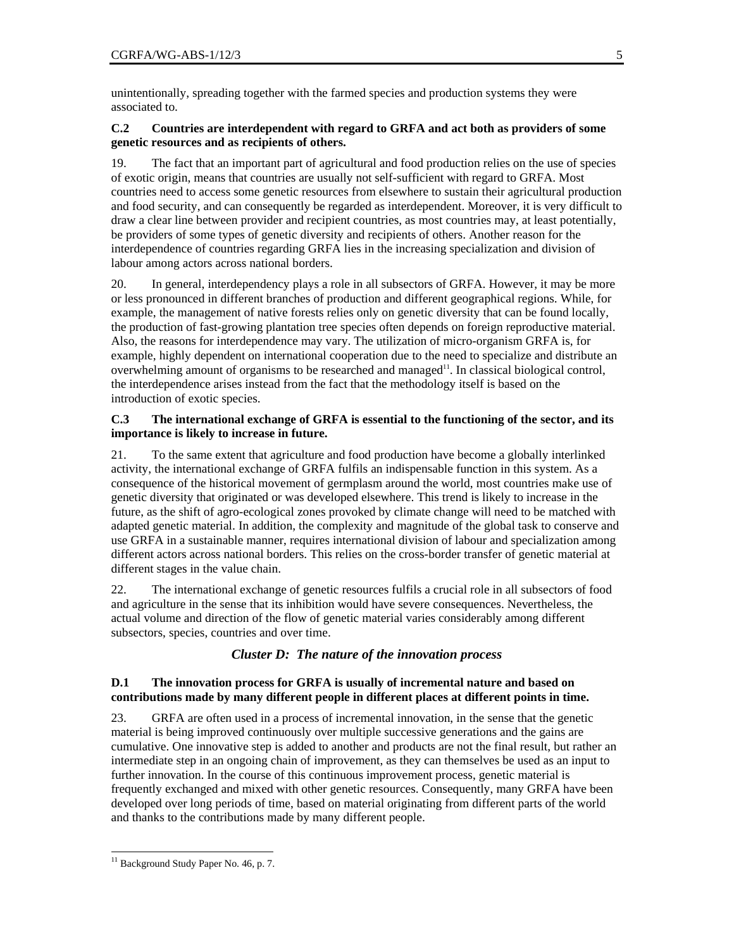unintentionally, spreading together with the farmed species and production systems they were associated to.

## **C.2 Countries are interdependent with regard to GRFA and act both as providers of some genetic resources and as recipients of others.**

19. The fact that an important part of agricultural and food production relies on the use of species of exotic origin, means that countries are usually not self-sufficient with regard to GRFA. Most countries need to access some genetic resources from elsewhere to sustain their agricultural production and food security, and can consequently be regarded as interdependent. Moreover, it is very difficult to draw a clear line between provider and recipient countries, as most countries may, at least potentially, be providers of some types of genetic diversity and recipients of others. Another reason for the interdependence of countries regarding GRFA lies in the increasing specialization and division of labour among actors across national borders.

20. In general, interdependency plays a role in all subsectors of GRFA. However, it may be more or less pronounced in different branches of production and different geographical regions. While, for example, the management of native forests relies only on genetic diversity that can be found locally, the production of fast-growing plantation tree species often depends on foreign reproductive material. Also, the reasons for interdependence may vary. The utilization of micro-organism GRFA is, for example, highly dependent on international cooperation due to the need to specialize and distribute an overwhelming amount of organisms to be researched and managed<sup>11</sup>. In classical biological control, the interdependence arises instead from the fact that the methodology itself is based on the introduction of exotic species.

#### **C.3 The international exchange of GRFA is essential to the functioning of the sector, and its importance is likely to increase in future.**

21. To the same extent that agriculture and food production have become a globally interlinked activity, the international exchange of GRFA fulfils an indispensable function in this system. As a consequence of the historical movement of germplasm around the world, most countries make use of genetic diversity that originated or was developed elsewhere. This trend is likely to increase in the future, as the shift of agro-ecological zones provoked by climate change will need to be matched with adapted genetic material. In addition, the complexity and magnitude of the global task to conserve and use GRFA in a sustainable manner, requires international division of labour and specialization among different actors across national borders. This relies on the cross-border transfer of genetic material at different stages in the value chain.

22. The international exchange of genetic resources fulfils a crucial role in all subsectors of food and agriculture in the sense that its inhibition would have severe consequences. Nevertheless, the actual volume and direction of the flow of genetic material varies considerably among different subsectors, species, countries and over time.

# *Cluster D: The nature of the innovation process*

# **D.1 The innovation process for GRFA is usually of incremental nature and based on contributions made by many different people in different places at different points in time.**

23. GRFA are often used in a process of incremental innovation, in the sense that the genetic material is being improved continuously over multiple successive generations and the gains are cumulative. One innovative step is added to another and products are not the final result, but rather an intermediate step in an ongoing chain of improvement, as they can themselves be used as an input to further innovation. In the course of this continuous improvement process, genetic material is frequently exchanged and mixed with other genetic resources. Consequently, many GRFA have been developed over long periods of time, based on material originating from different parts of the world and thanks to the contributions made by many different people.

l

<sup>&</sup>lt;sup>11</sup> Background Study Paper No. 46, p. 7.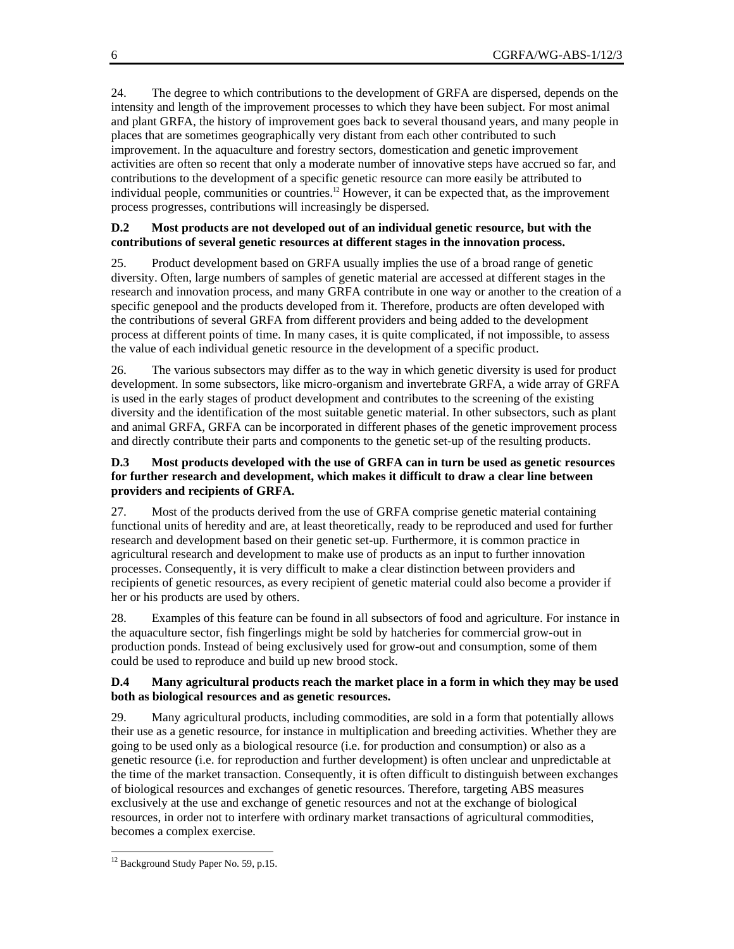24. The degree to which contributions to the development of GRFA are dispersed, depends on the intensity and length of the improvement processes to which they have been subject. For most animal and plant GRFA, the history of improvement goes back to several thousand years, and many people in places that are sometimes geographically very distant from each other contributed to such improvement. In the aquaculture and forestry sectors, domestication and genetic improvement activities are often so recent that only a moderate number of innovative steps have accrued so far, and contributions to the development of a specific genetic resource can more easily be attributed to individual people, communities or countries.12 However, it can be expected that, as the improvement process progresses, contributions will increasingly be dispersed.

# **D.2 Most products are not developed out of an individual genetic resource, but with the contributions of several genetic resources at different stages in the innovation process.**

25. Product development based on GRFA usually implies the use of a broad range of genetic diversity. Often, large numbers of samples of genetic material are accessed at different stages in the research and innovation process, and many GRFA contribute in one way or another to the creation of a specific genepool and the products developed from it. Therefore, products are often developed with the contributions of several GRFA from different providers and being added to the development process at different points of time. In many cases, it is quite complicated, if not impossible, to assess the value of each individual genetic resource in the development of a specific product.

26. The various subsectors may differ as to the way in which genetic diversity is used for product development. In some subsectors, like micro-organism and invertebrate GRFA, a wide array of GRFA is used in the early stages of product development and contributes to the screening of the existing diversity and the identification of the most suitable genetic material. In other subsectors, such as plant and animal GRFA, GRFA can be incorporated in different phases of the genetic improvement process and directly contribute their parts and components to the genetic set-up of the resulting products.

# **D.3 Most products developed with the use of GRFA can in turn be used as genetic resources for further research and development, which makes it difficult to draw a clear line between providers and recipients of GRFA.**

27. Most of the products derived from the use of GRFA comprise genetic material containing functional units of heredity and are, at least theoretically, ready to be reproduced and used for further research and development based on their genetic set-up. Furthermore, it is common practice in agricultural research and development to make use of products as an input to further innovation processes. Consequently, it is very difficult to make a clear distinction between providers and recipients of genetic resources, as every recipient of genetic material could also become a provider if her or his products are used by others.

28. Examples of this feature can be found in all subsectors of food and agriculture. For instance in the aquaculture sector, fish fingerlings might be sold by hatcheries for commercial grow-out in production ponds. Instead of being exclusively used for grow-out and consumption, some of them could be used to reproduce and build up new brood stock.

# **D.4 Many agricultural products reach the market place in a form in which they may be used both as biological resources and as genetic resources.**

29. Many agricultural products, including commodities, are sold in a form that potentially allows their use as a genetic resource, for instance in multiplication and breeding activities. Whether they are going to be used only as a biological resource (i.e. for production and consumption) or also as a genetic resource (i.e. for reproduction and further development) is often unclear and unpredictable at the time of the market transaction. Consequently, it is often difficult to distinguish between exchanges of biological resources and exchanges of genetic resources. Therefore, targeting ABS measures exclusively at the use and exchange of genetic resources and not at the exchange of biological resources, in order not to interfere with ordinary market transactions of agricultural commodities, becomes a complex exercise.

l

<sup>&</sup>lt;sup>12</sup> Background Study Paper No. 59, p.15.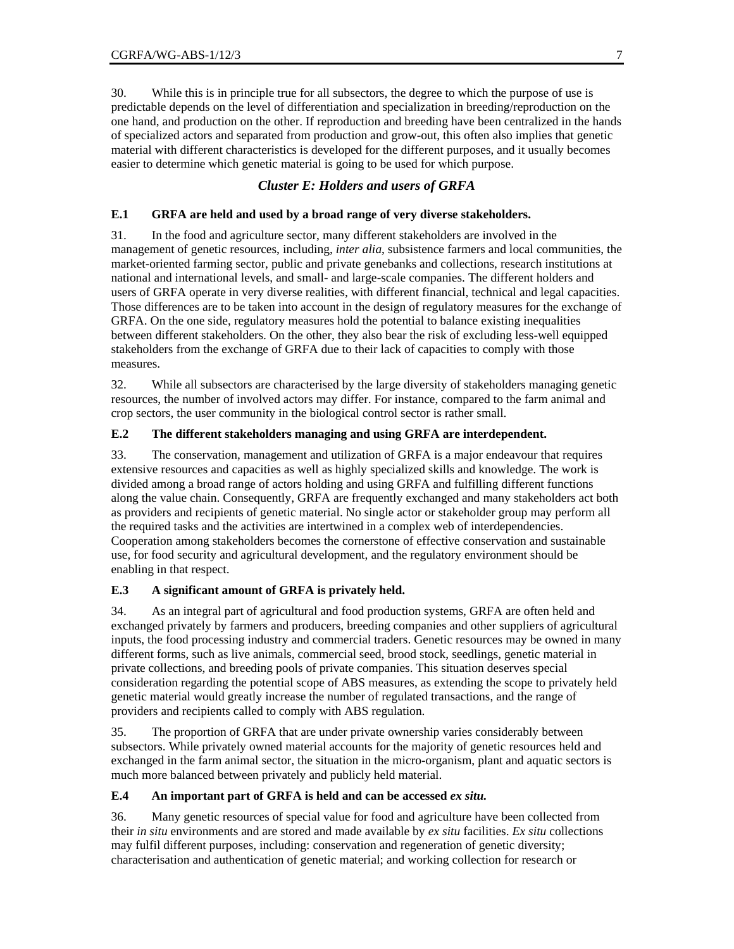30. While this is in principle true for all subsectors, the degree to which the purpose of use is predictable depends on the level of differentiation and specialization in breeding/reproduction on the one hand, and production on the other. If reproduction and breeding have been centralized in the hands of specialized actors and separated from production and grow-out, this often also implies that genetic material with different characteristics is developed for the different purposes, and it usually becomes easier to determine which genetic material is going to be used for which purpose.

# *Cluster E: Holders and users of GRFA*

#### **E.1 GRFA are held and used by a broad range of very diverse stakeholders.**

31. In the food and agriculture sector, many different stakeholders are involved in the management of genetic resources, including, *inter alia*, subsistence farmers and local communities, the market-oriented farming sector, public and private genebanks and collections, research institutions at national and international levels, and small- and large-scale companies. The different holders and users of GRFA operate in very diverse realities, with different financial, technical and legal capacities. Those differences are to be taken into account in the design of regulatory measures for the exchange of GRFA. On the one side, regulatory measures hold the potential to balance existing inequalities between different stakeholders. On the other, they also bear the risk of excluding less-well equipped stakeholders from the exchange of GRFA due to their lack of capacities to comply with those measures.

32. While all subsectors are characterised by the large diversity of stakeholders managing genetic resources, the number of involved actors may differ. For instance, compared to the farm animal and crop sectors, the user community in the biological control sector is rather small.

#### **E.2 The different stakeholders managing and using GRFA are interdependent.**

33. The conservation, management and utilization of GRFA is a major endeavour that requires extensive resources and capacities as well as highly specialized skills and knowledge. The work is divided among a broad range of actors holding and using GRFA and fulfilling different functions along the value chain. Consequently, GRFA are frequently exchanged and many stakeholders act both as providers and recipients of genetic material. No single actor or stakeholder group may perform all the required tasks and the activities are intertwined in a complex web of interdependencies. Cooperation among stakeholders becomes the cornerstone of effective conservation and sustainable use, for food security and agricultural development, and the regulatory environment should be enabling in that respect.

#### **E.3 A significant amount of GRFA is privately held.**

34. As an integral part of agricultural and food production systems, GRFA are often held and exchanged privately by farmers and producers, breeding companies and other suppliers of agricultural inputs, the food processing industry and commercial traders. Genetic resources may be owned in many different forms, such as live animals, commercial seed, brood stock, seedlings, genetic material in private collections, and breeding pools of private companies. This situation deserves special consideration regarding the potential scope of ABS measures, as extending the scope to privately held genetic material would greatly increase the number of regulated transactions, and the range of providers and recipients called to comply with ABS regulation.

35. The proportion of GRFA that are under private ownership varies considerably between subsectors. While privately owned material accounts for the majority of genetic resources held and exchanged in the farm animal sector, the situation in the micro-organism, plant and aquatic sectors is much more balanced between privately and publicly held material.

#### **E.4 An important part of GRFA is held and can be accessed** *ex situ.*

36. Many genetic resources of special value for food and agriculture have been collected from their *in situ* environments and are stored and made available by *ex situ* facilities. *Ex situ* collections may fulfil different purposes, including: conservation and regeneration of genetic diversity; characterisation and authentication of genetic material; and working collection for research or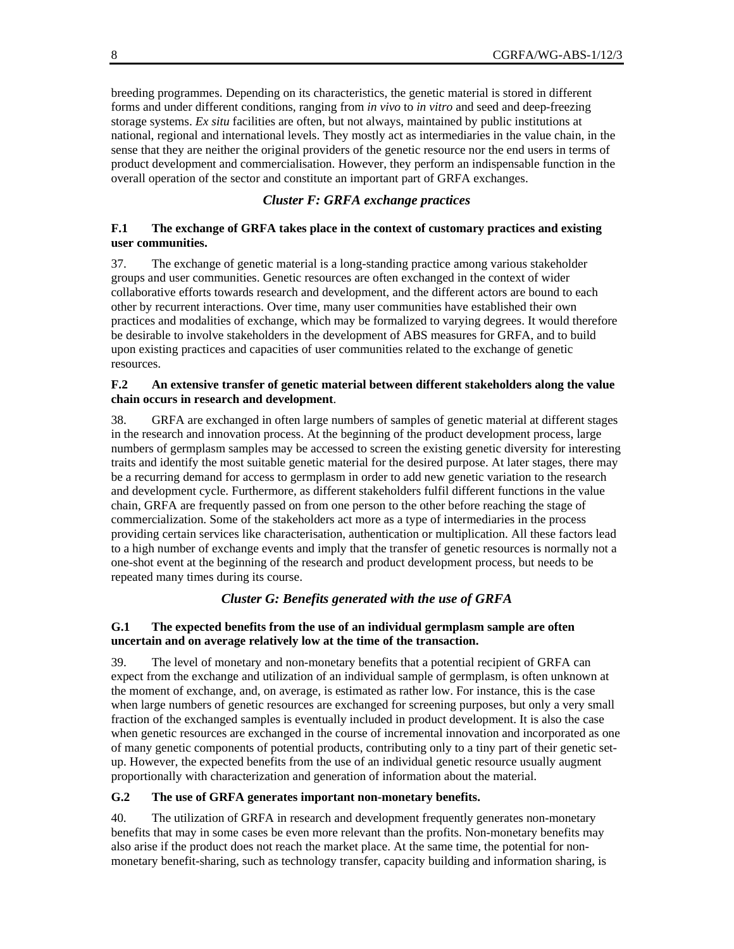breeding programmes. Depending on its characteristics, the genetic material is stored in different forms and under different conditions, ranging from *in vivo* to *in vitro* and seed and deep-freezing storage systems. *Ex situ* facilities are often, but not always, maintained by public institutions at national, regional and international levels. They mostly act as intermediaries in the value chain, in the sense that they are neither the original providers of the genetic resource nor the end users in terms of product development and commercialisation. However, they perform an indispensable function in the overall operation of the sector and constitute an important part of GRFA exchanges.

## *Cluster F: GRFA exchange practices*

#### **F.1 The exchange of GRFA takes place in the context of customary practices and existing user communities.**

37. The exchange of genetic material is a long-standing practice among various stakeholder groups and user communities. Genetic resources are often exchanged in the context of wider collaborative efforts towards research and development, and the different actors are bound to each other by recurrent interactions. Over time, many user communities have established their own practices and modalities of exchange, which may be formalized to varying degrees. It would therefore be desirable to involve stakeholders in the development of ABS measures for GRFA, and to build upon existing practices and capacities of user communities related to the exchange of genetic resources.

#### **F.2 An extensive transfer of genetic material between different stakeholders along the value chain occurs in research and development**.

38. GRFA are exchanged in often large numbers of samples of genetic material at different stages in the research and innovation process. At the beginning of the product development process, large numbers of germplasm samples may be accessed to screen the existing genetic diversity for interesting traits and identify the most suitable genetic material for the desired purpose. At later stages, there may be a recurring demand for access to germplasm in order to add new genetic variation to the research and development cycle. Furthermore, as different stakeholders fulfil different functions in the value chain, GRFA are frequently passed on from one person to the other before reaching the stage of commercialization. Some of the stakeholders act more as a type of intermediaries in the process providing certain services like characterisation, authentication or multiplication. All these factors lead to a high number of exchange events and imply that the transfer of genetic resources is normally not a one-shot event at the beginning of the research and product development process, but needs to be repeated many times during its course.

# *Cluster G: Benefits generated with the use of GRFA*

#### **G.1 The expected benefits from the use of an individual germplasm sample are often uncertain and on average relatively low at the time of the transaction.**

39. The level of monetary and non-monetary benefits that a potential recipient of GRFA can expect from the exchange and utilization of an individual sample of germplasm, is often unknown at the moment of exchange, and, on average, is estimated as rather low. For instance, this is the case when large numbers of genetic resources are exchanged for screening purposes, but only a very small fraction of the exchanged samples is eventually included in product development. It is also the case when genetic resources are exchanged in the course of incremental innovation and incorporated as one of many genetic components of potential products, contributing only to a tiny part of their genetic setup. However, the expected benefits from the use of an individual genetic resource usually augment proportionally with characterization and generation of information about the material.

# **G.2 The use of GRFA generates important non-monetary benefits.**

40. The utilization of GRFA in research and development frequently generates non-monetary benefits that may in some cases be even more relevant than the profits. Non-monetary benefits may also arise if the product does not reach the market place. At the same time, the potential for nonmonetary benefit-sharing, such as technology transfer, capacity building and information sharing, is